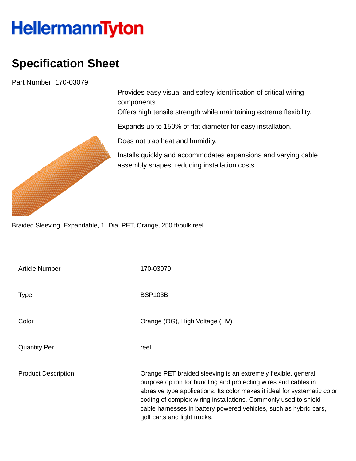## **HellermannTyton**

## **Specification Sheet**

Part Number: 170-03079

Provides easy visual and safety identification of critical wiring components.

Offers high tensile strength while maintaining extreme flexibility.

Expands up to 150% of flat diameter for easy installation.

Does not trap heat and humidity.

Installs quickly and accommodates expansions and varying cable assembly shapes, reducing installation costs.

Braided Sleeving, Expandable, 1" Dia, PET, Orange, 250 ft/bulk reel

| <b>Article Number</b>      | 170-03079                                                                                                                                                                                                                                                                                                                                                                            |
|----------------------------|--------------------------------------------------------------------------------------------------------------------------------------------------------------------------------------------------------------------------------------------------------------------------------------------------------------------------------------------------------------------------------------|
| <b>Type</b>                | <b>BSP103B</b>                                                                                                                                                                                                                                                                                                                                                                       |
| Color                      | Orange (OG), High Voltage (HV)                                                                                                                                                                                                                                                                                                                                                       |
| <b>Quantity Per</b>        | reel                                                                                                                                                                                                                                                                                                                                                                                 |
| <b>Product Description</b> | Orange PET braided sleeving is an extremely flexible, general<br>purpose option for bundling and protecting wires and cables in<br>abrasive type applications. Its color makes it ideal for systematic color<br>coding of complex wiring installations. Commonly used to shield<br>cable harnesses in battery powered vehicles, such as hybrid cars,<br>golf carts and light trucks. |

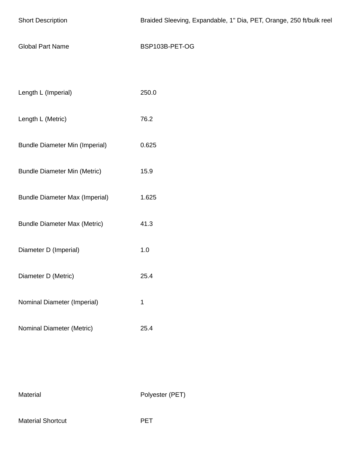| <b>Short Description</b>              | Braided Sleeving, Expandable, 1" Dia, PET, Orange, 250 ft/bulk reel |
|---------------------------------------|---------------------------------------------------------------------|
| <b>Global Part Name</b>               | BSP103B-PET-OG                                                      |
|                                       |                                                                     |
| Length L (Imperial)                   | 250.0                                                               |
| Length L (Metric)                     | 76.2                                                                |
| <b>Bundle Diameter Min (Imperial)</b> | 0.625                                                               |
| <b>Bundle Diameter Min (Metric)</b>   | 15.9                                                                |
| <b>Bundle Diameter Max (Imperial)</b> | 1.625                                                               |
| <b>Bundle Diameter Max (Metric)</b>   | 41.3                                                                |
| Diameter D (Imperial)                 | $1.0\,$                                                             |
| Diameter D (Metric)                   | 25.4                                                                |
| Nominal Diameter (Imperial)           | $\mathbf{1}$                                                        |
| Nominal Diameter (Metric)             | 25.4                                                                |

Material Polyester (PET)

Material Shortcut **PET**